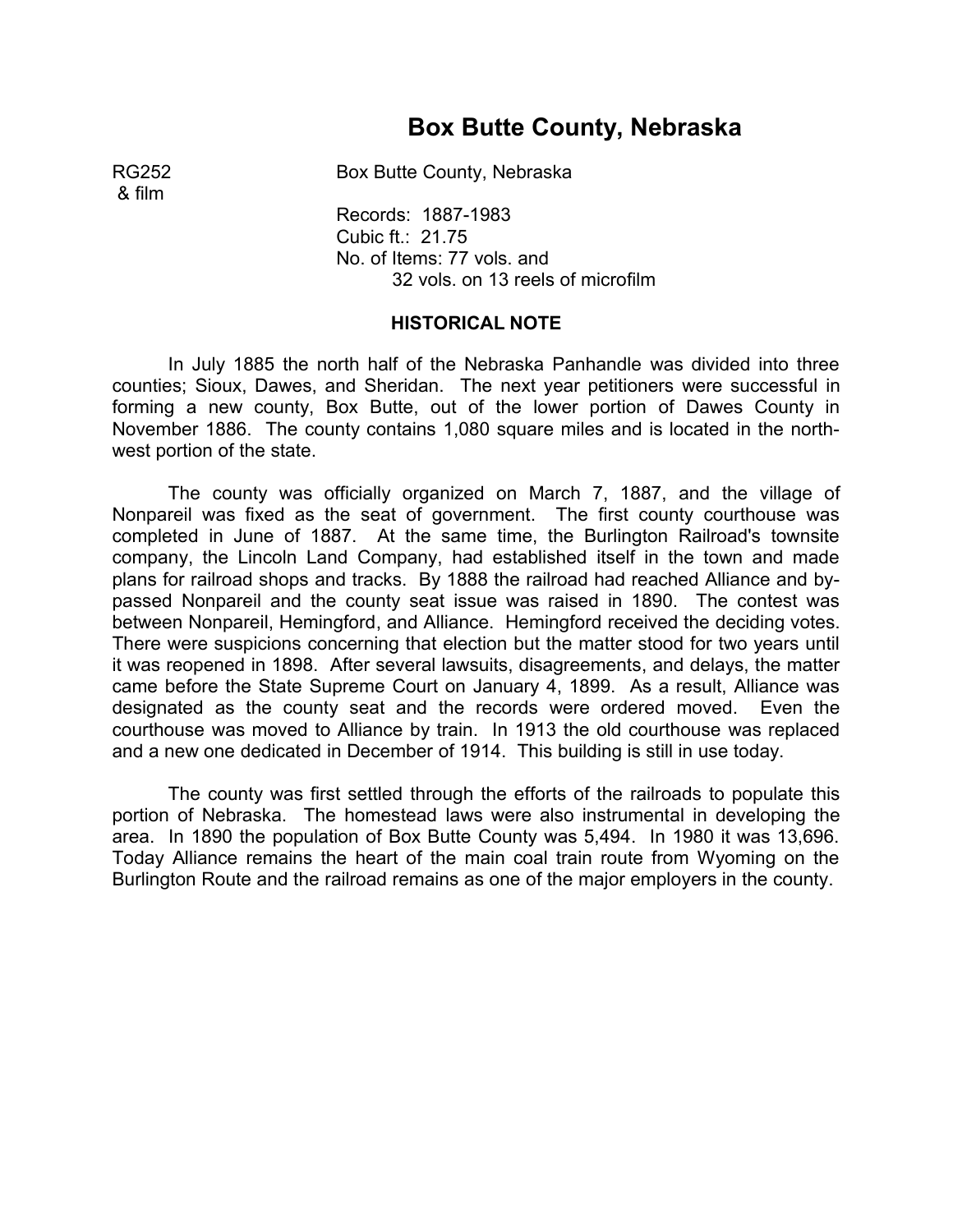# **Box Butte County, Nebraska**

RG252 Box Butte County, Nebraska

& film

Records: 1887-1983 Cubic ft.: 21.75 No. of Items: 77 vols. and 32 vols. on 13 reels of microfilm

#### **HISTORICAL NOTE**

In July 1885 the north half of the Nebraska Panhandle was divided into three counties; Sioux, Dawes, and Sheridan. The next year petitioners were successful in forming a new county, Box Butte, out of the lower portion of Dawes County in November 1886. The county contains 1,080 square miles and is located in the northwest portion of the state.

The county was officially organized on March 7, 1887, and the village of Nonpareil was fixed as the seat of government. The first county courthouse was completed in June of 1887. At the same time, the Burlington Railroad's townsite company, the Lincoln Land Company, had established itself in the town and made plans for railroad shops and tracks. By 1888 the railroad had reached Alliance and bypassed Nonpareil and the county seat issue was raised in 1890. The contest was between Nonpareil, Hemingford, and Alliance. Hemingford received the deciding votes. There were suspicions concerning that election but the matter stood for two years until it was reopened in 1898. After several lawsuits, disagreements, and delays, the matter came before the State Supreme Court on January 4, 1899. As a result, Alliance was designated as the county seat and the records were ordered moved. Even the courthouse was moved to Alliance by train. In 1913 the old courthouse was replaced and a new one dedicated in December of 1914. This building is still in use today.

The county was first settled through the efforts of the railroads to populate this portion of Nebraska. The homestead laws were also instrumental in developing the area. In 1890 the population of Box Butte County was 5,494. In 1980 it was 13,696. Today Alliance remains the heart of the main coal train route from Wyoming on the Burlington Route and the railroad remains as one of the major employers in the county.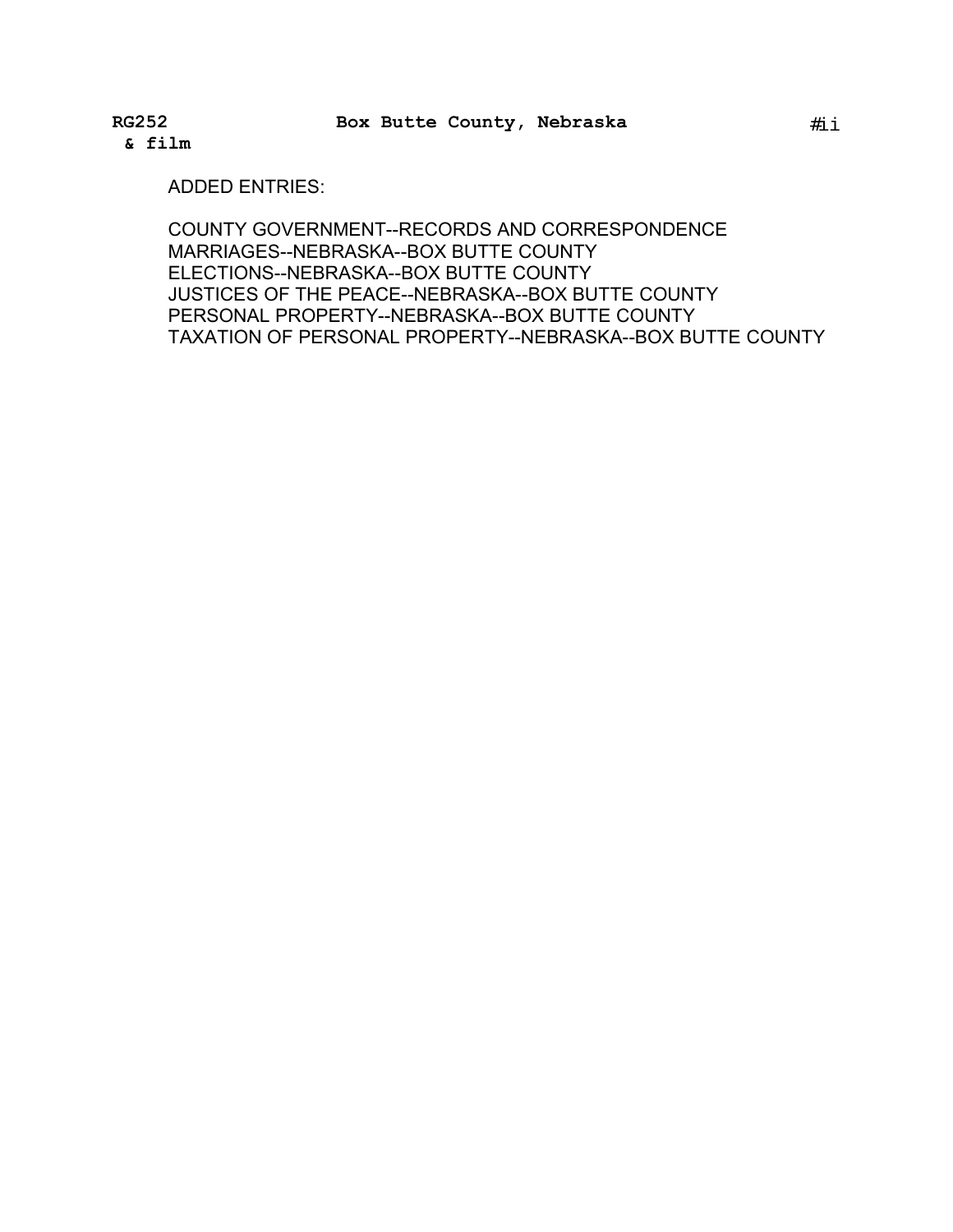**& film** 

ADDED ENTRIES:

COUNTY GOVERNMENT--RECORDS AND CORRESPONDENCE MARRIAGES--NEBRASKA--BOX BUTTE COUNTY ELECTIONS--NEBRASKA--BOX BUTTE COUNTY JUSTICES OF THE PEACE--NEBRASKA--BOX BUTTE COUNTY PERSONAL PROPERTY--NEBRASKA--BOX BUTTE COUNTY TAXATION OF PERSONAL PROPERTY--NEBRASKA--BOX BUTTE COUNTY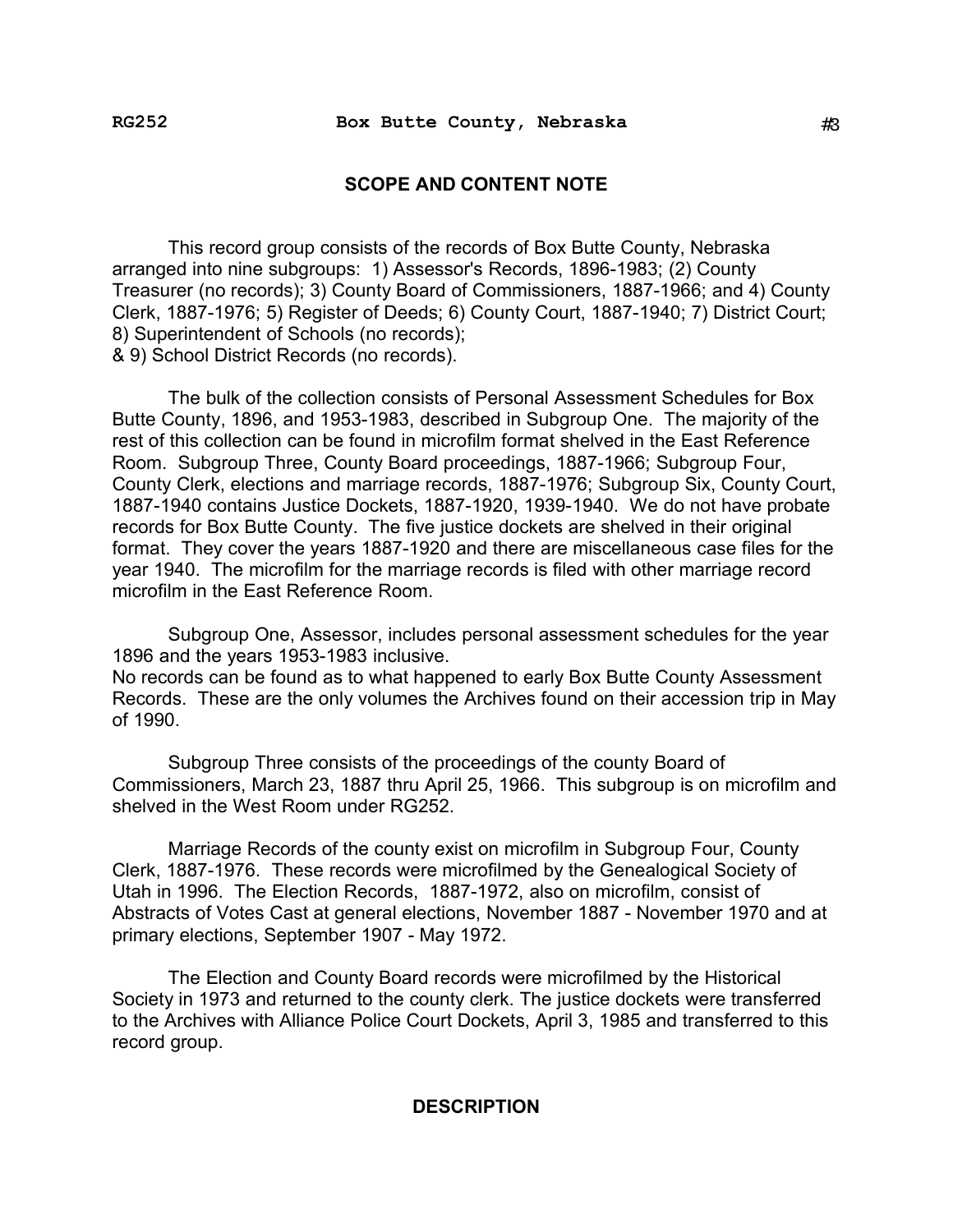#### **SCOPE AND CONTENT NOTE**

This record group consists of the records of Box Butte County, Nebraska arranged into nine subgroups: 1) Assessor's Records, 1896-1983; (2) County Treasurer (no records); 3) County Board of Commissioners, 1887-1966; and 4) County Clerk, 1887-1976; 5) Register of Deeds; 6) County Court, 1887-1940; 7) District Court; 8) Superintendent of Schools (no records); & 9) School District Records (no records).

The bulk of the collection consists of Personal Assessment Schedules for Box Butte County, 1896, and 1953-1983, described in Subgroup One. The majority of the rest of this collection can be found in microfilm format shelved in the East Reference Room. Subgroup Three, County Board proceedings, 1887-1966; Subgroup Four, County Clerk, elections and marriage records, 1887-1976; Subgroup Six, County Court, 1887-1940 contains Justice Dockets, 1887-1920, 1939-1940. We do not have probate records for Box Butte County. The five justice dockets are shelved in their original format. They cover the years 1887-1920 and there are miscellaneous case files for the year 1940. The microfilm for the marriage records is filed with other marriage record microfilm in the East Reference Room.

Subgroup One, Assessor, includes personal assessment schedules for the year 1896 and the years 1953-1983 inclusive.

No records can be found as to what happened to early Box Butte County Assessment Records. These are the only volumes the Archives found on their accession trip in May of 1990.

Subgroup Three consists of the proceedings of the county Board of Commissioners, March 23, 1887 thru April 25, 1966. This subgroup is on microfilm and shelved in the West Room under RG252.

Marriage Records of the county exist on microfilm in Subgroup Four, County Clerk, 1887-1976. These records were microfilmed by the Genealogical Society of Utah in 1996. The Election Records, 1887-1972, also on microfilm, consist of Abstracts of Votes Cast at general elections, November 1887 - November 1970 and at primary elections, September 1907 - May 1972.

The Election and County Board records were microfilmed by the Historical Society in 1973 and returned to the county clerk. The justice dockets were transferred to the Archives with Alliance Police Court Dockets, April 3, 1985 and transferred to this record group.

## **DESCRIPTION**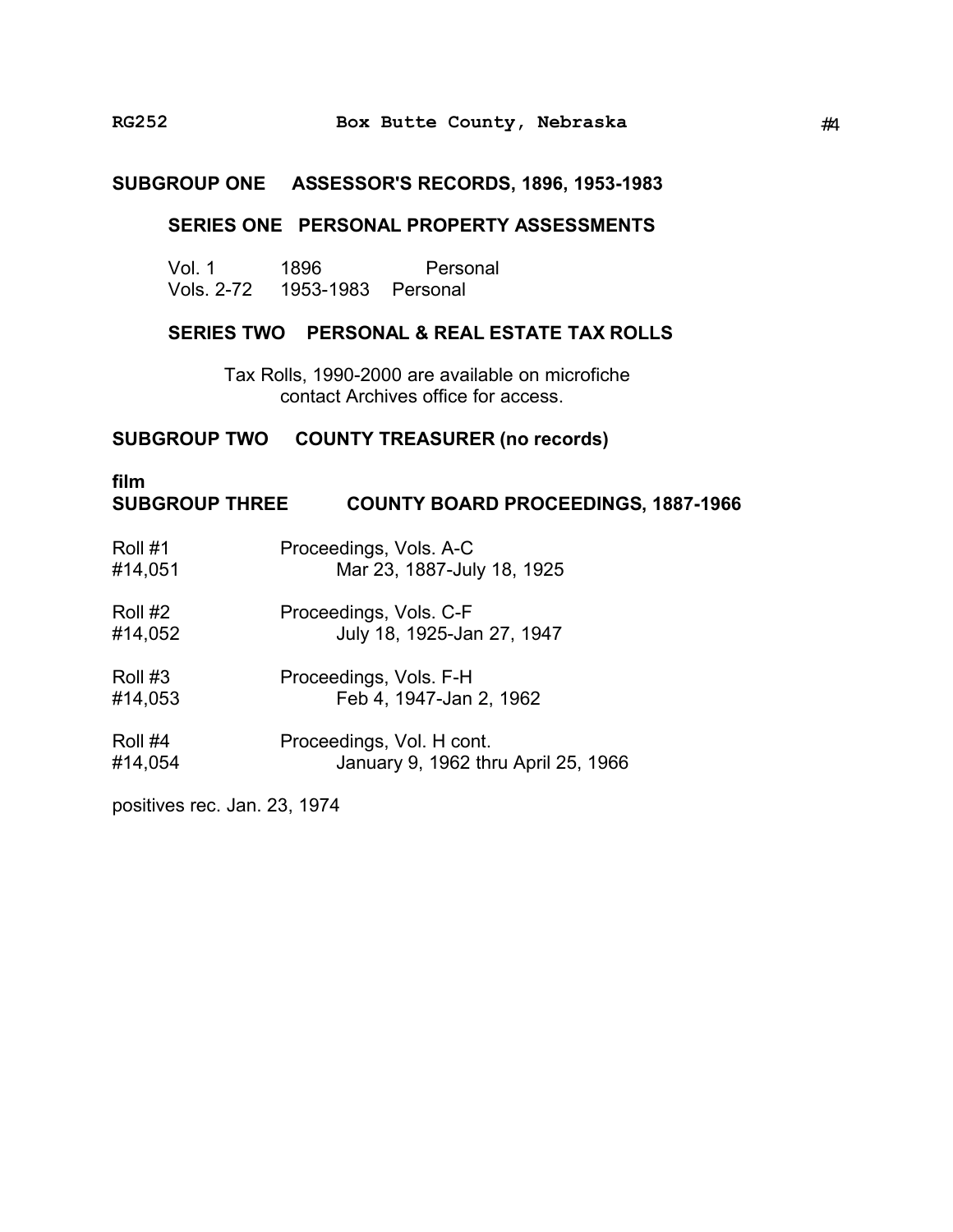## **SUBGROUP ONE ASSESSOR'S RECORDS, 1896, 1953-1983**

## **SERIES ONE PERSONAL PROPERTY ASSESSMENTS**

| Vol. 1     | 1896               | Personal |
|------------|--------------------|----------|
| Vols. 2-72 | 1953-1983 Personal |          |

## **SERIES TWO PERSONAL & REAL ESTATE TAX ROLLS**

Tax Rolls, 1990-2000 are available on microfiche contact Archives office for access.

## **SUBGROUP TWO COUNTY TREASURER (no records)**

## **film SUBGROUP THREE COUNTY BOARD PROCEEDINGS, 1887-1966**

| Roll #1 | Proceedings, Vols. A-C              |
|---------|-------------------------------------|
| #14,051 | Mar 23, 1887-July 18, 1925          |
| Roll #2 | Proceedings, Vols. C-F              |
| #14,052 | July 18, 1925-Jan 27, 1947          |
| Roll #3 | Proceedings, Vols. F-H              |
| #14,053 | Feb 4, 1947-Jan 2, 1962             |
| Roll #4 | Proceedings, Vol. H cont.           |
| #14,054 | January 9, 1962 thru April 25, 1966 |

positives rec. Jan. 23, 1974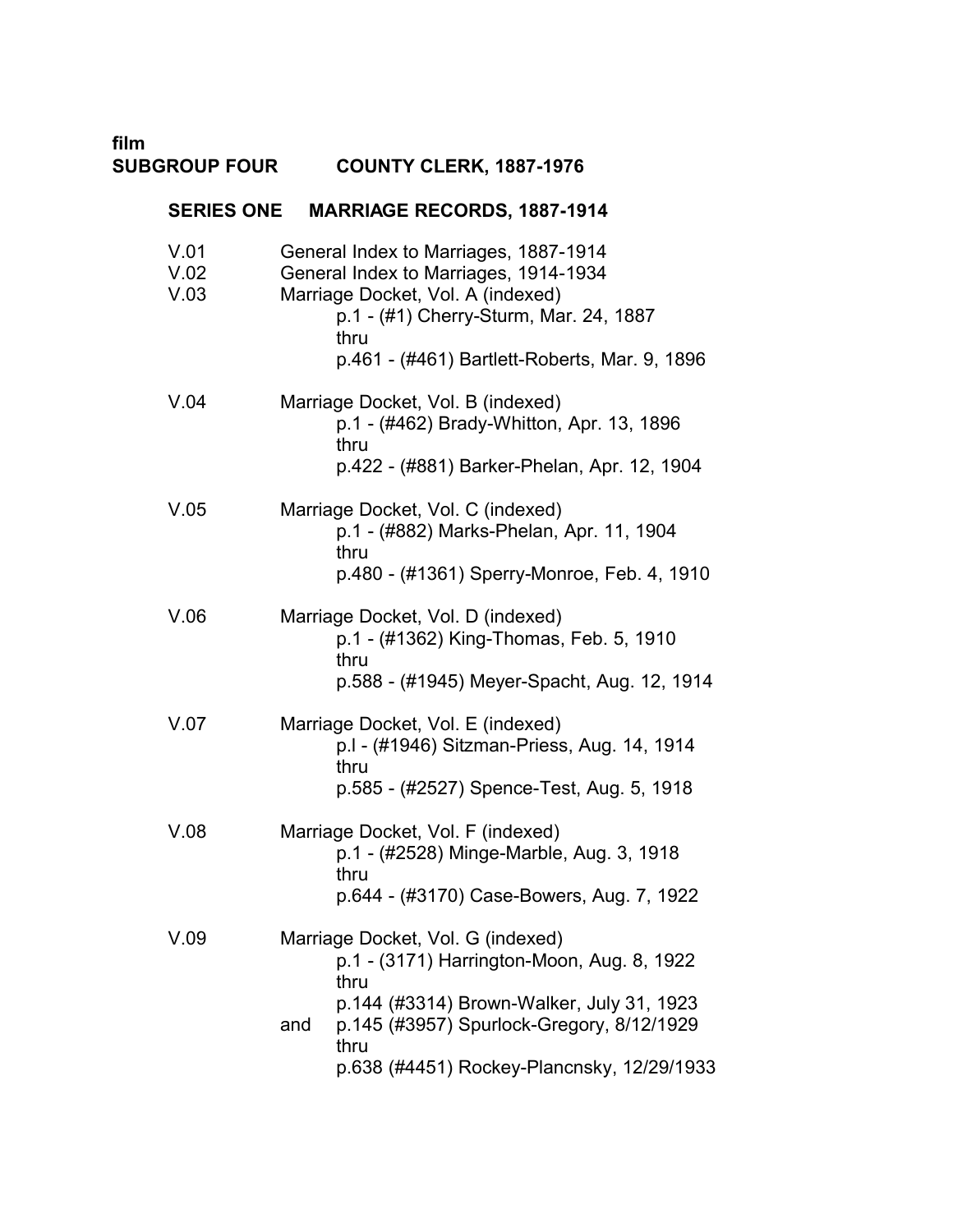**film SUBGROUP FOUR COUNTY CLERK, 1887-1976** 

| <b>SERIES ONE</b>    | <b>MARRIAGE RECORDS, 1887-1914</b>                                                                                                                                                                                                             |
|----------------------|------------------------------------------------------------------------------------------------------------------------------------------------------------------------------------------------------------------------------------------------|
| V.01<br>V.02<br>V.03 | General Index to Marriages, 1887-1914<br>General Index to Marriages, 1914-1934<br>Marriage Docket, Vol. A (indexed)<br>p.1 - (#1) Cherry-Sturm, Mar. 24, 1887<br>thru<br>p.461 - (#461) Bartlett-Roberts, Mar. 9, 1896                         |
| V.04                 | Marriage Docket, Vol. B (indexed)<br>p.1 - (#462) Brady-Whitton, Apr. 13, 1896<br>thru<br>p.422 - (#881) Barker-Phelan, Apr. 12, 1904                                                                                                          |
| V.05                 | Marriage Docket, Vol. C (indexed)<br>p.1 - (#882) Marks-Phelan, Apr. 11, 1904<br>thru<br>p.480 - (#1361) Sperry-Monroe, Feb. 4, 1910                                                                                                           |
| V.06                 | Marriage Docket, Vol. D (indexed)<br>p.1 - (#1362) King-Thomas, Feb. 5, 1910<br>thru<br>p.588 - (#1945) Meyer-Spacht, Aug. 12, 1914                                                                                                            |
| V.07                 | Marriage Docket, Vol. E (indexed)<br>p.I - (#1946) Sitzman-Priess, Aug. 14, 1914<br>thru<br>p.585 - (#2527) Spence-Test, Aug. 5, 1918                                                                                                          |
| V.08                 | Marriage Docket, Vol. F (indexed)<br>p.1 - (#2528) Minge-Marble, Aug. 3, 1918<br>thru<br>p.644 - (#3170) Case-Bowers, Aug. 7, 1922                                                                                                             |
| V.09                 | Marriage Docket, Vol. G (indexed)<br>p.1 - (3171) Harrington-Moon, Aug. 8, 1922<br>thru<br>p.144 (#3314) Brown-Walker, July 31, 1923<br>p.145 (#3957) Spurlock-Gregory, 8/12/1929<br>and<br>thru<br>p.638 (#4451) Rockey-Plancnsky, 12/29/1933 |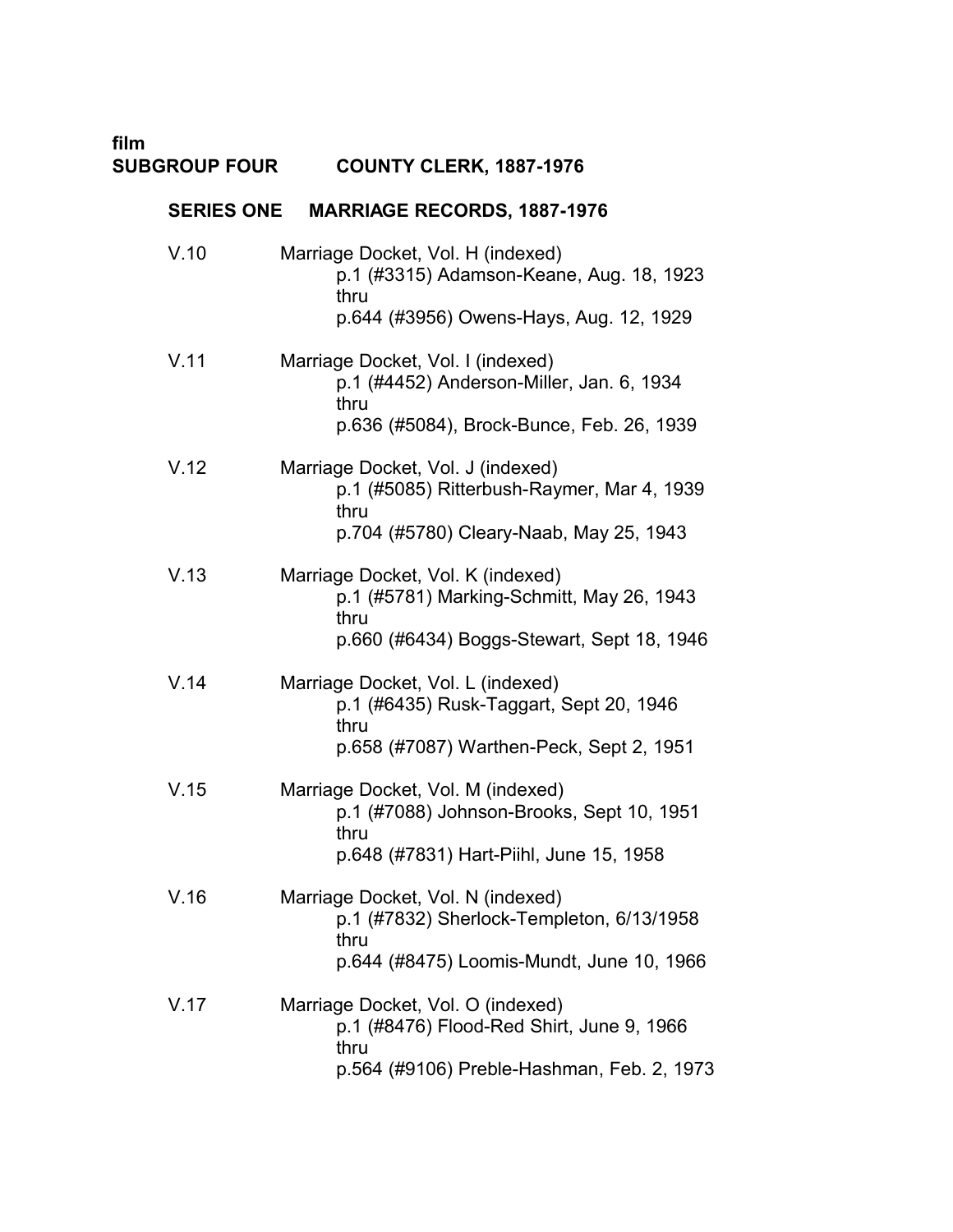# **film COUNTY CLERK, 1887-1976**

# **SERIES ONE MARRIAGE RECORDS, 1887-1976**

| V.10 | Marriage Docket, Vol. H (indexed)<br>p.1 (#3315) Adamson-Keane, Aug. 18, 1923<br>thru<br>p.644 (#3956) Owens-Hays, Aug. 12, 1929     |
|------|--------------------------------------------------------------------------------------------------------------------------------------|
| V.11 | Marriage Docket, Vol. I (indexed)<br>p.1 (#4452) Anderson-Miller, Jan. 6, 1934<br>thru<br>p.636 (#5084), Brock-Bunce, Feb. 26, 1939  |
| V.12 | Marriage Docket, Vol. J (indexed)<br>p.1 (#5085) Ritterbush-Raymer, Mar 4, 1939<br>thru<br>p.704 (#5780) Cleary-Naab, May 25, 1943   |
| V.13 | Marriage Docket, Vol. K (indexed)<br>p.1 (#5781) Marking-Schmitt, May 26, 1943<br>thru<br>p.660 (#6434) Boggs-Stewart, Sept 18, 1946 |
| V.14 | Marriage Docket, Vol. L (indexed)<br>p.1 (#6435) Rusk-Taggart, Sept 20, 1946<br>thru<br>p.658 (#7087) Warthen-Peck, Sept 2, 1951     |
| V.15 | Marriage Docket, Vol. M (indexed)<br>p.1 (#7088) Johnson-Brooks, Sept 10, 1951<br>thru<br>p.648 (#7831) Hart-Piihl, June 15, 1958    |
| V.16 | Marriage Docket, Vol. N (indexed)<br>p.1 (#7832) Sherlock-Templeton, 6/13/1958<br>thru<br>p.644 (#8475) Loomis-Mundt, June 10, 1966  |
| V.17 | Marriage Docket, Vol. O (indexed)<br>p.1 (#8476) Flood-Red Shirt, June 9, 1966<br>thru<br>p.564 (#9106) Preble-Hashman, Feb. 2, 1973 |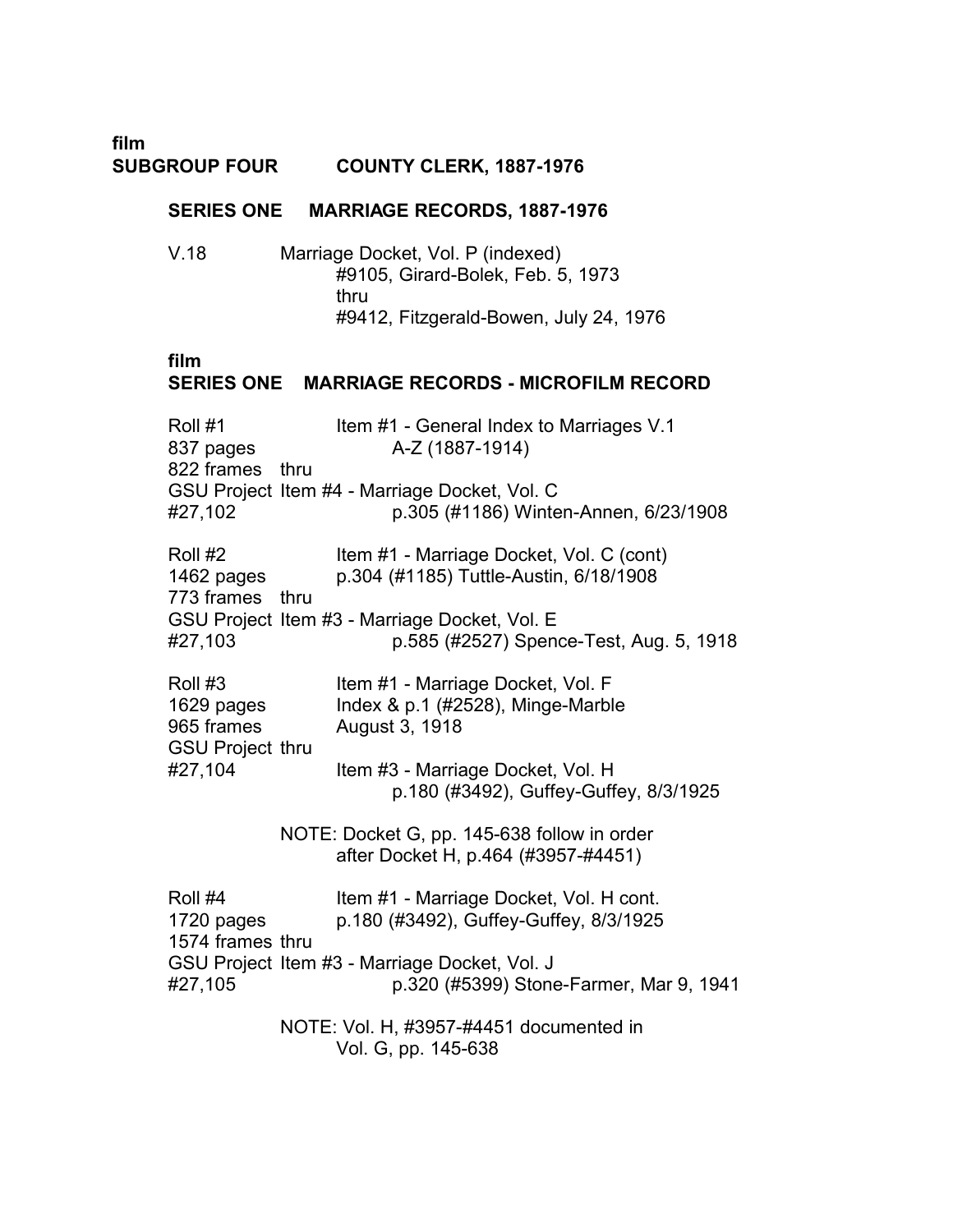**film SUBGROUP FOUR COUNTY CLERK, 1887-1976** 

## **SERIES ONE MARRIAGE RECORDS, 1887-1976**

V.18 � Marriage Docket, Vol. P (indexed) #9105, Girard-Bolek, Feb. 5, 1973 thru #9412, Fitzgerald-Bowen, July 24, 1976

## **film**

## **SERIES ONE MARRIAGE RECORDS - MICROFILM RECORD**

| Roll #1         | Item #1 - General Index to Marriages V.1      |
|-----------------|-----------------------------------------------|
| 837 pages       | A-Z (1887-1914)                               |
| 822 frames thru |                                               |
|                 | GSU Project Item #4 - Marriage Docket, Vol. C |
| #27,102         | p.305 (#1186) Winten-Annen, 6/23/1908         |

| Roll #2         | Item #1 - Marriage Docket, Vol. C (cont)      |
|-----------------|-----------------------------------------------|
| 1462 pages      | p.304 (#1185) Tuttle-Austin, 6/18/1908        |
| 773 frames thru |                                               |
|                 | GSU Project Item #3 - Marriage Docket, Vol. E |
| #27,103         | p.585 (#2527) Spence-Test, Aug. 5, 1918       |

| Roll #3                 | Item #1 - Marriage Docket, Vol. F      |
|-------------------------|----------------------------------------|
| 1629 pages              | Index & $p.1$ (#2528), Minge-Marble    |
| 965 frames              | August 3, 1918                         |
| <b>GSU Project thru</b> |                                        |
| #27,104                 | Item #3 - Marriage Docket, Vol. H      |
|                         | p.180 (#3492), Guffey-Guffey, 8/3/1925 |

NOTE: Docket G, pp. 145-638 follow in order after Docket H, p.464 (#3957-#4451)

Roll #4 Item #1 - Marriage Docket, Vol. H cont. 1720 pages p.180 (#3492), Guffey-Guffey, 8/3/1925 1574 frames thru GSU Project Item #3 - Marriage Docket, Vol. J #27,105 p.320 (#5399) Stone-Farmer, Mar 9, 1941

> NOTE: Vol. H, #3957-#4451 documented in Vol. G, pp. 145-638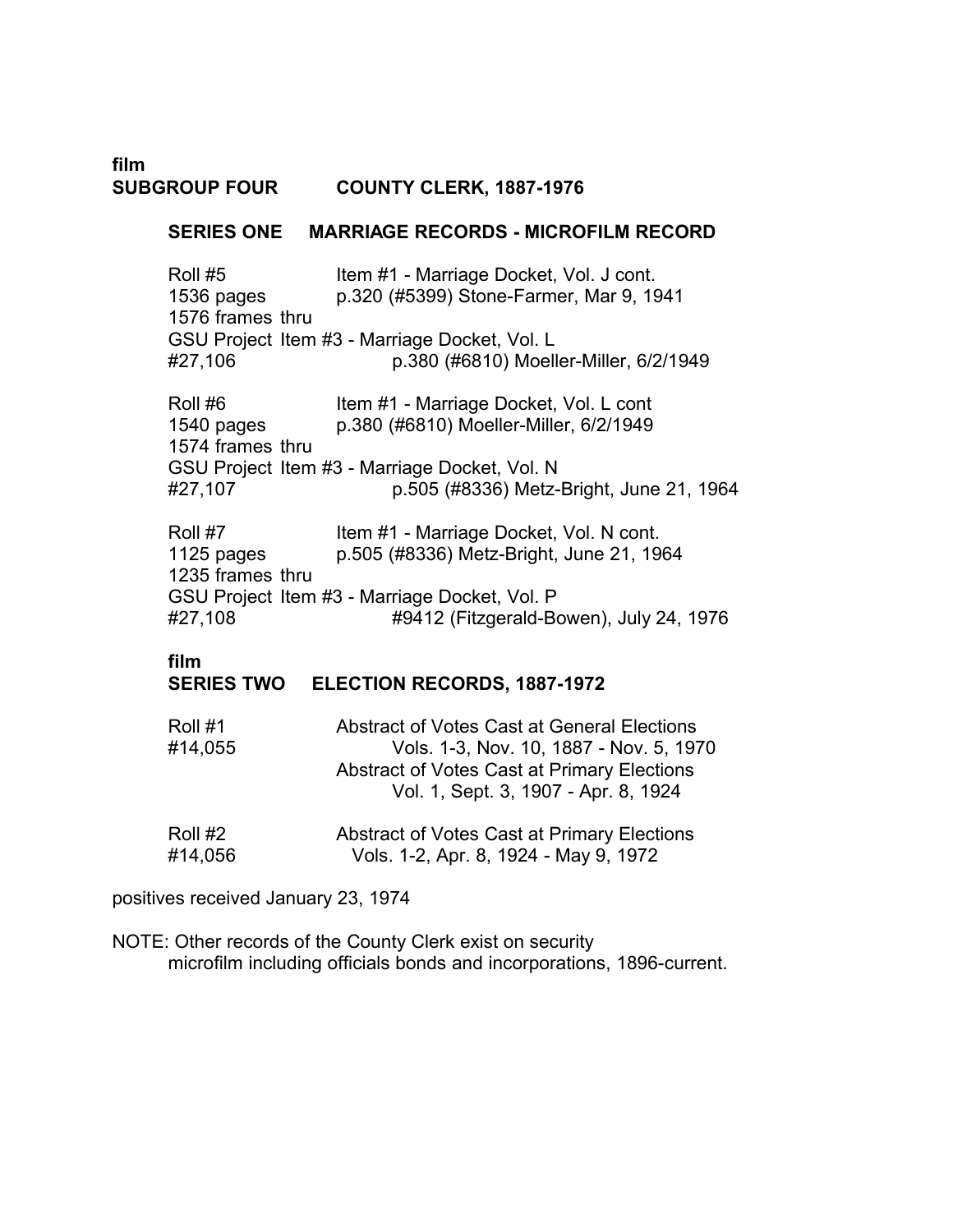**film SUBGROUP FOUR COUNTY CLERK, 1887-1976** 

## **SERIES ONE MARRIAGE RECORDS - MICROFILM RECORD**

Roll #5 Item #1 - Marriage Docket, Vol. J cont. 1536 pages p.320 (#5399) Stone-Farmer, Mar 9, 1941 1576 frames thru GSU Project Item #3 - Marriage Docket, Vol. L #27,106 p.380 (#6810) Moeller-Miller, 6/2/1949

Roll #6 Item #1 - Marriage Docket, Vol. L cont 1540 pages p.380 (#6810) Moeller-Miller, 6/2/1949 1574 frames thru GSU Project Item #3 - Marriage Docket, Vol. N #27,107 p.505 (#8336) Metz-Bright, June 21, 1964

Roll #7 Item #1 - Marriage Docket, Vol. N cont. 1125 pages p.505 (#8336) Metz-Bright, June 21, 1964 1235 frames thru GSU Project Item #3 - Marriage Docket, Vol. P #27,108 #9412 (Fitzgerald-Bowen), July 24, 1976

## **film**

## **SERIES TWO ELECTION RECORDS, 1887-1972**

| Roll #1 | Abstract of Votes Cast at General Elections                                         |
|---------|-------------------------------------------------------------------------------------|
| #14,055 | Vols. 1-3, Nov. 10, 1887 - Nov. 5, 1970                                             |
|         | Abstract of Votes Cast at Primary Elections<br>Vol. 1, Sept. 3, 1907 - Apr. 8, 1924 |
| Roll #2 | <b>Abstract of Votes Cast at Primary Elections</b>                                  |

#14,056 Vols. 1-2, Apr. 8, 1924 - May 9, 1972

positives received January 23, 1974

NOTE: Other records of the County Clerk exist on security microfilm including officials bonds and incorporations, 1896-current.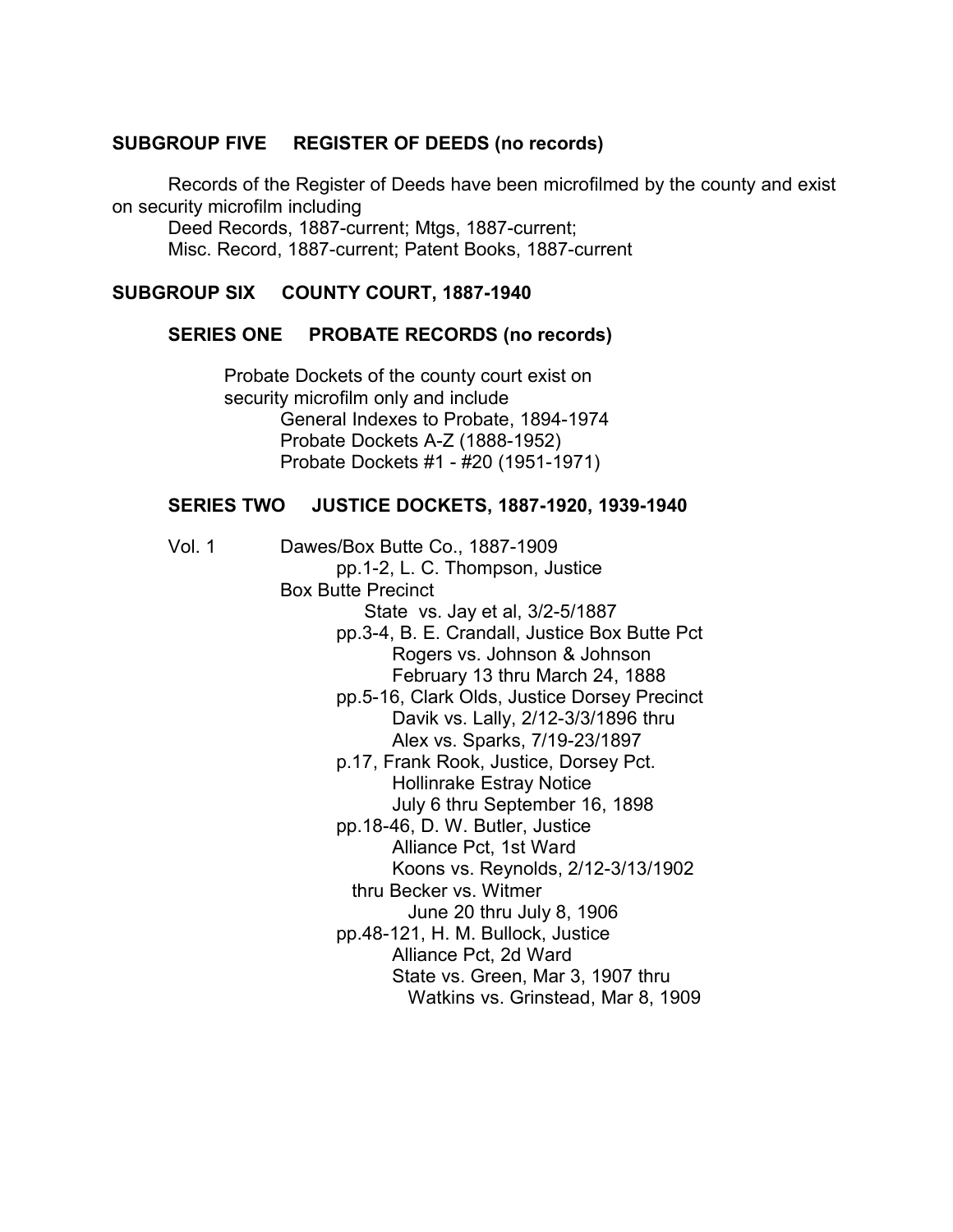## **SUBGROUP FIVE REGISTER OF DEEDS (no records)**

Records of the Register of Deeds have been microfilmed by the county and exist on security microfilm including

Deed Records, 1887-current; Mtgs, 1887-current; Misc. Record, 1887-current; Patent Books, 1887-current

## **SUBGROUP SIX COUNTY COURT, 1887-1940**

#### **SERIES ONE PROBATE RECORDS (no records)**

Probate Dockets of the county court exist on security microfilm only and include General Indexes to Probate, 1894-1974 Probate Dockets A-Z (1888-1952) � Probate Dockets #1 - #20 (1951-1971) �

## **SERIES TWO JUSTICE DOCKETS, 1887-1920, 1939-1940**

| Vol. 1 | Dawes/Box Butte Co., 1887-1909                |
|--------|-----------------------------------------------|
|        | pp. 1-2, L. C. Thompson, Justice              |
|        | <b>Box Butte Precinct</b>                     |
|        | State vs. Jay et al, 3/2-5/1887               |
|        | pp.3-4, B. E. Crandall, Justice Box Butte Pct |
|        | Rogers vs. Johnson & Johnson                  |
|        | February 13 thru March 24, 1888               |
|        | pp.5-16, Clark Olds, Justice Dorsey Precinct  |
|        | Davik vs. Lally, 2/12-3/3/1896 thru           |
|        | Alex vs. Sparks, 7/19-23/1897                 |
|        | p.17, Frank Rook, Justice, Dorsey Pct.        |
|        | <b>Hollinrake Estray Notice</b>               |
|        | July 6 thru September 16, 1898                |
|        | pp. 18-46, D. W. Butler, Justice              |
|        | Alliance Pct, 1st Ward                        |
|        | Koons vs. Reynolds, 2/12-3/13/1902            |
|        | thru Becker vs. Witmer                        |
|        | June 20 thru July 8, 1906                     |
|        | pp.48-121, H. M. Bullock, Justice             |
|        | Alliance Pct, 2d Ward                         |
|        | State vs. Green, Mar 3, 1907 thru             |
|        | Watkins vs. Grinstead, Mar 8, 1909            |
|        |                                               |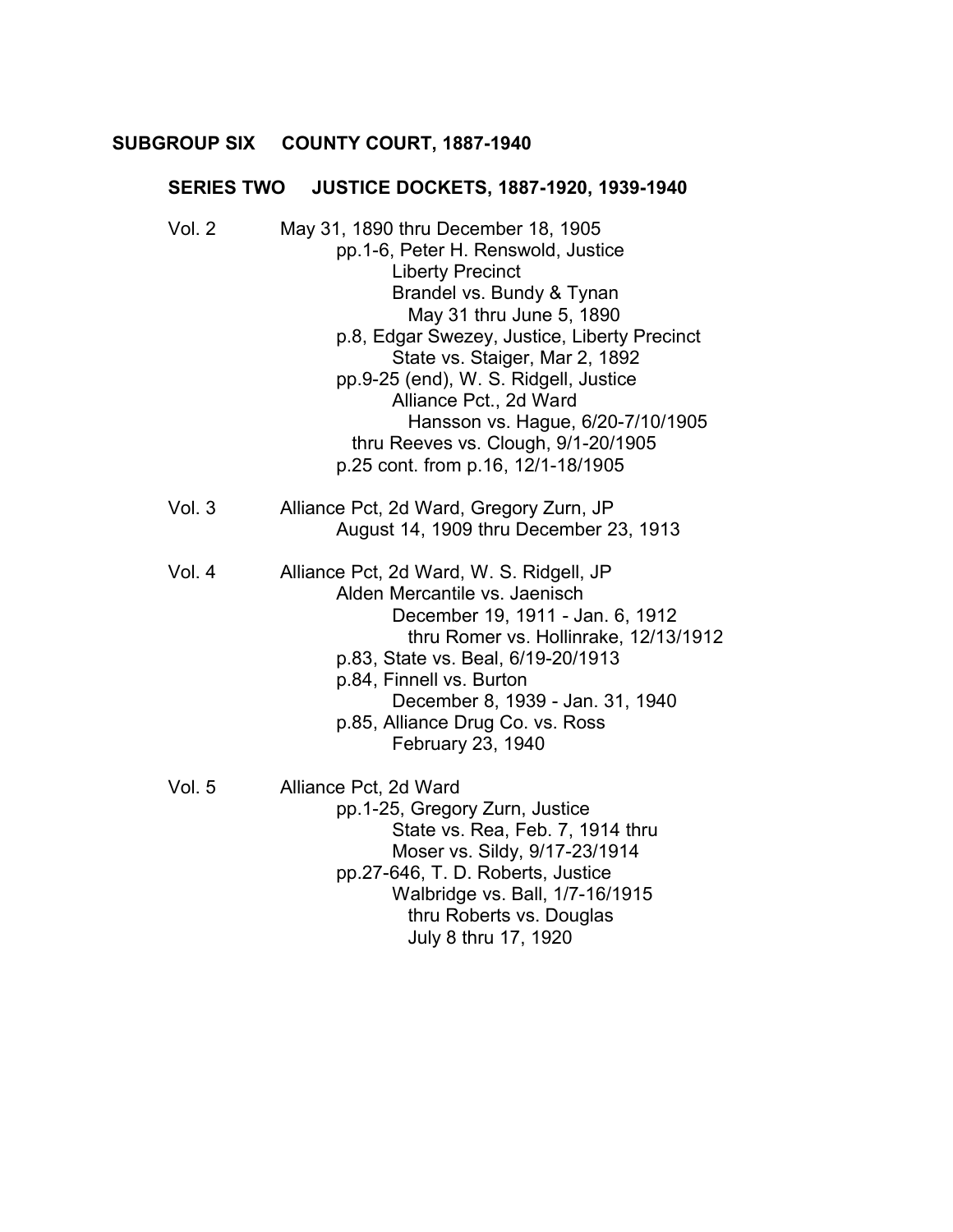## **SUBGROUP SIX COUNTY COURT, 1887-1940** �

# **SERIES TWO JUSTICE DOCKETS, 1887-1920, 1939-1940**

| Vol. 2 | May 31, 1890 thru December 18, 1905<br>pp. 1-6, Peter H. Renswold, Justice<br><b>Liberty Precinct</b><br>Brandel vs. Bundy & Tynan<br>May 31 thru June 5, 1890<br>p.8, Edgar Swezey, Justice, Liberty Precinct<br>State vs. Staiger, Mar 2, 1892<br>pp.9-25 (end), W. S. Ridgell, Justice                             |
|--------|-----------------------------------------------------------------------------------------------------------------------------------------------------------------------------------------------------------------------------------------------------------------------------------------------------------------------|
|        | Alliance Pct., 2d Ward<br>Hansson vs. Hague, 6/20-7/10/1905<br>thru Reeves vs. Clough, 9/1-20/1905<br>p.25 cont. from p.16, 12/1-18/1905                                                                                                                                                                              |
| Vol.3  | Alliance Pct, 2d Ward, Gregory Zurn, JP<br>August 14, 1909 thru December 23, 1913                                                                                                                                                                                                                                     |
| Vol. 4 | Alliance Pct, 2d Ward, W. S. Ridgell, JP<br>Alden Mercantile vs. Jaenisch<br>December 19, 1911 - Jan. 6, 1912<br>thru Romer vs. Hollinrake, 12/13/1912<br>p.83, State vs. Beal, 6/19-20/1913<br>p.84, Finnell vs. Burton<br>December 8, 1939 - Jan. 31, 1940<br>p.85, Alliance Drug Co. vs. Ross<br>February 23, 1940 |
| Vol. 5 | Alliance Pct, 2d Ward<br>pp. 1-25, Gregory Zurn, Justice<br>State vs. Rea, Feb. 7, 1914 thru<br>Moser vs. Sildy, 9/17-23/1914<br>pp.27-646, T. D. Roberts, Justice<br>Walbridge vs. Ball, 1/7-16/1915<br>thru Roberts vs. Douglas<br>July 8 thru 17, 1920                                                             |